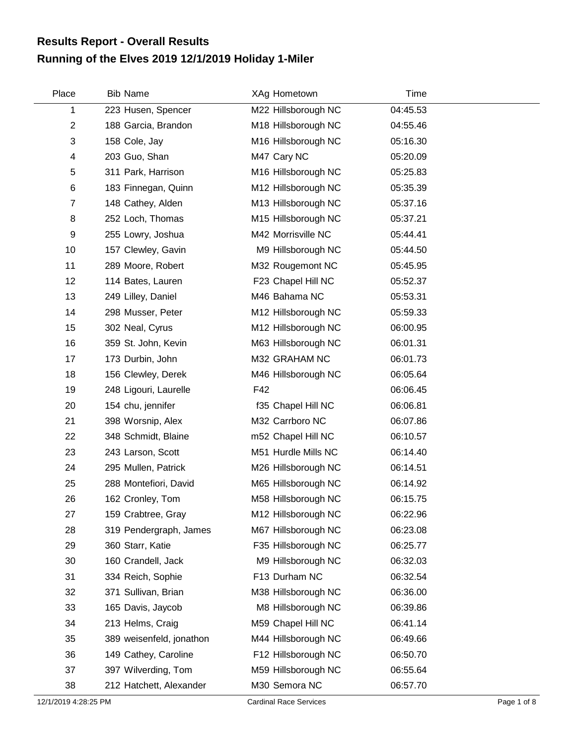## **Running of the Elves 2019 12/1/2019 Holiday 1-Miler Results Report - Overall Results**

| Place          | <b>Bib Name</b>          | XAg Hometown        | Time     |  |
|----------------|--------------------------|---------------------|----------|--|
| 1              | 223 Husen, Spencer       | M22 Hillsborough NC | 04:45.53 |  |
| $\overline{2}$ | 188 Garcia, Brandon      | M18 Hillsborough NC | 04:55.46 |  |
| 3              | 158 Cole, Jay            | M16 Hillsborough NC | 05:16.30 |  |
| 4              | 203 Guo, Shan            | M47 Cary NC         | 05:20.09 |  |
| 5              | 311 Park, Harrison       | M16 Hillsborough NC | 05:25.83 |  |
| 6              | 183 Finnegan, Quinn      | M12 Hillsborough NC | 05:35.39 |  |
| $\overline{7}$ | 148 Cathey, Alden        | M13 Hillsborough NC | 05:37.16 |  |
| 8              | 252 Loch, Thomas         | M15 Hillsborough NC | 05:37.21 |  |
| 9              | 255 Lowry, Joshua        | M42 Morrisville NC  | 05:44.41 |  |
| 10             | 157 Clewley, Gavin       | M9 Hillsborough NC  | 05:44.50 |  |
| 11             | 289 Moore, Robert        | M32 Rougemont NC    | 05:45.95 |  |
| 12             | 114 Bates, Lauren        | F23 Chapel Hill NC  | 05:52.37 |  |
| 13             | 249 Lilley, Daniel       | M46 Bahama NC       | 05:53.31 |  |
| 14             | 298 Musser, Peter        | M12 Hillsborough NC | 05:59.33 |  |
| 15             | 302 Neal, Cyrus          | M12 Hillsborough NC | 06:00.95 |  |
| 16             | 359 St. John, Kevin      | M63 Hillsborough NC | 06:01.31 |  |
| 17             | 173 Durbin, John         | M32 GRAHAM NC       | 06:01.73 |  |
| 18             | 156 Clewley, Derek       | M46 Hillsborough NC | 06:05.64 |  |
| 19             | 248 Ligouri, Laurelle    | F42                 | 06:06.45 |  |
| 20             | 154 chu, jennifer        | f35 Chapel Hill NC  | 06:06.81 |  |
| 21             | 398 Worsnip, Alex        | M32 Carrboro NC     | 06:07.86 |  |
| 22             | 348 Schmidt, Blaine      | m52 Chapel Hill NC  | 06:10.57 |  |
| 23             | 243 Larson, Scott        | M51 Hurdle Mills NC | 06:14.40 |  |
| 24             | 295 Mullen, Patrick      | M26 Hillsborough NC | 06:14.51 |  |
| 25             | 288 Montefiori, David    | M65 Hillsborough NC | 06:14.92 |  |
| 26             | 162 Cronley, Tom         | M58 Hillsborough NC | 06:15.75 |  |
| 27             | 159 Crabtree, Gray       | M12 Hillsborough NC | 06:22.96 |  |
| 28             | 319 Pendergraph, James   | M67 Hillsborough NC | 06:23.08 |  |
| 29             | 360 Starr, Katie         | F35 Hillsborough NC | 06:25.77 |  |
| 30             | 160 Crandell, Jack       | M9 Hillsborough NC  | 06:32.03 |  |
| 31             | 334 Reich, Sophie        | F13 Durham NC       | 06:32.54 |  |
| 32             | 371 Sullivan, Brian      | M38 Hillsborough NC | 06:36.00 |  |
| 33             | 165 Davis, Jaycob        | M8 Hillsborough NC  | 06:39.86 |  |
| 34             | 213 Helms, Craig         | M59 Chapel Hill NC  | 06:41.14 |  |
| 35             | 389 weisenfeld, jonathon | M44 Hillsborough NC | 06:49.66 |  |
| 36             | 149 Cathey, Caroline     | F12 Hillsborough NC | 06:50.70 |  |
| 37             | 397 Wilverding, Tom      | M59 Hillsborough NC | 06:55.64 |  |
| 38             | 212 Hatchett, Alexander  | M30 Semora NC       | 06:57.70 |  |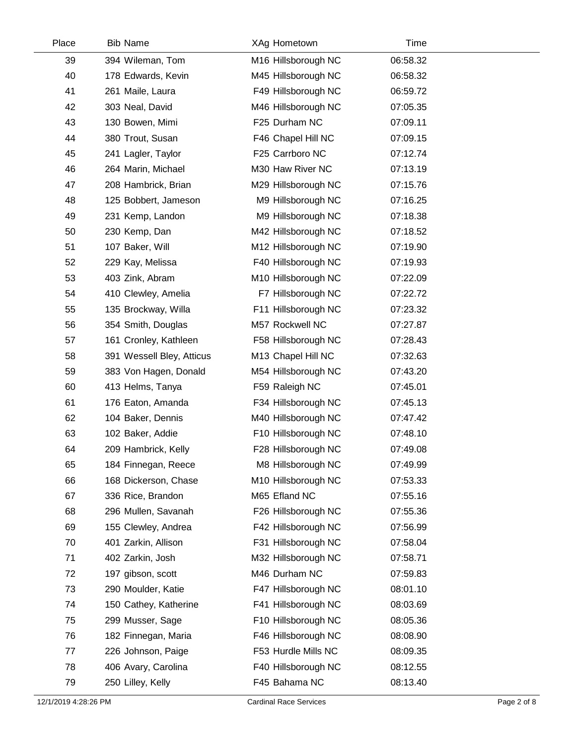| Place | <b>Bib Name</b>           | XAg Hometown        | Time     |  |
|-------|---------------------------|---------------------|----------|--|
| 39    | 394 Wileman, Tom          | M16 Hillsborough NC | 06:58.32 |  |
| 40    | 178 Edwards, Kevin        | M45 Hillsborough NC | 06:58.32 |  |
| 41    | 261 Maile, Laura          | F49 Hillsborough NC | 06:59.72 |  |
| 42    | 303 Neal, David           | M46 Hillsborough NC | 07:05.35 |  |
| 43    | 130 Bowen, Mimi           | F25 Durham NC       | 07:09.11 |  |
| 44    | 380 Trout, Susan          | F46 Chapel Hill NC  | 07:09.15 |  |
| 45    | 241 Lagler, Taylor        | F25 Carrboro NC     | 07:12.74 |  |
| 46    | 264 Marin, Michael        | M30 Haw River NC    | 07:13.19 |  |
| 47    | 208 Hambrick, Brian       | M29 Hillsborough NC | 07:15.76 |  |
| 48    | 125 Bobbert, Jameson      | M9 Hillsborough NC  | 07:16.25 |  |
| 49    | 231 Kemp, Landon          | M9 Hillsborough NC  | 07:18.38 |  |
| 50    | 230 Kemp, Dan             | M42 Hillsborough NC | 07:18.52 |  |
| 51    | 107 Baker, Will           | M12 Hillsborough NC | 07:19.90 |  |
| 52    | 229 Kay, Melissa          | F40 Hillsborough NC | 07:19.93 |  |
| 53    | 403 Zink, Abram           | M10 Hillsborough NC | 07:22.09 |  |
| 54    | 410 Clewley, Amelia       | F7 Hillsborough NC  | 07:22.72 |  |
| 55    | 135 Brockway, Willa       | F11 Hillsborough NC | 07:23.32 |  |
| 56    | 354 Smith, Douglas        | M57 Rockwell NC     | 07:27.87 |  |
| 57    | 161 Cronley, Kathleen     | F58 Hillsborough NC | 07:28.43 |  |
| 58    | 391 Wessell Bley, Atticus | M13 Chapel Hill NC  | 07:32.63 |  |
| 59    | 383 Von Hagen, Donald     | M54 Hillsborough NC | 07:43.20 |  |
| 60    | 413 Helms, Tanya          | F59 Raleigh NC      | 07:45.01 |  |
| 61    | 176 Eaton, Amanda         | F34 Hillsborough NC | 07:45.13 |  |
| 62    | 104 Baker, Dennis         | M40 Hillsborough NC | 07:47.42 |  |
| 63    | 102 Baker, Addie          | F10 Hillsborough NC | 07:48.10 |  |
| 64    | 209 Hambrick, Kelly       | F28 Hillsborough NC | 07:49.08 |  |
| 65    | 184 Finnegan, Reece       | M8 Hillsborough NC  | 07:49.99 |  |
| 66    | 168 Dickerson, Chase      | M10 Hillsborough NC | 07:53.33 |  |
| 67    | 336 Rice, Brandon         | M65 Efland NC       | 07:55.16 |  |
| 68    | 296 Mullen, Savanah       | F26 Hillsborough NC | 07:55.36 |  |
| 69    | 155 Clewley, Andrea       | F42 Hillsborough NC | 07:56.99 |  |
| 70    | 401 Zarkin, Allison       | F31 Hillsborough NC | 07:58.04 |  |
| 71    | 402 Zarkin, Josh          | M32 Hillsborough NC | 07:58.71 |  |
| 72    | 197 gibson, scott         | M46 Durham NC       | 07:59.83 |  |
| 73    | 290 Moulder, Katie        | F47 Hillsborough NC | 08:01.10 |  |
| 74    | 150 Cathey, Katherine     | F41 Hillsborough NC | 08:03.69 |  |
| 75    | 299 Musser, Sage          | F10 Hillsborough NC | 08:05.36 |  |
| 76    | 182 Finnegan, Maria       | F46 Hillsborough NC | 08:08.90 |  |
| 77    | 226 Johnson, Paige        | F53 Hurdle Mills NC | 08:09.35 |  |
| 78    | 406 Avary, Carolina       | F40 Hillsborough NC | 08:12.55 |  |
| 79    | 250 Lilley, Kelly         | F45 Bahama NC       | 08:13.40 |  |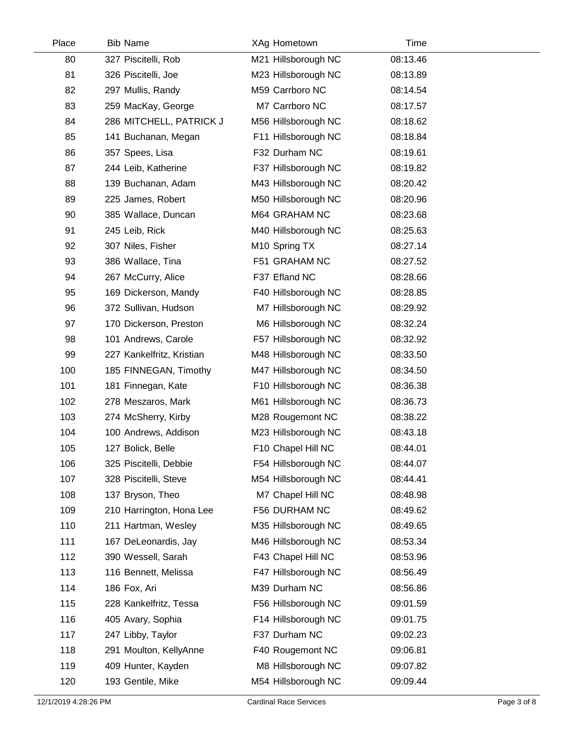| Place | <b>Bib Name</b>           | XAg Hometown        | Time     |  |
|-------|---------------------------|---------------------|----------|--|
| 80    | 327 Piscitelli, Rob       | M21 Hillsborough NC | 08:13.46 |  |
| 81    | 326 Piscitelli, Joe       | M23 Hillsborough NC | 08:13.89 |  |
| 82    | 297 Mullis, Randy         | M59 Carrboro NC     | 08:14.54 |  |
| 83    | 259 MacKay, George        | M7 Carrboro NC      | 08:17.57 |  |
| 84    | 286 MITCHELL, PATRICK J   | M56 Hillsborough NC | 08:18.62 |  |
| 85    | 141 Buchanan, Megan       | F11 Hillsborough NC | 08:18.84 |  |
| 86    | 357 Spees, Lisa           | F32 Durham NC       | 08:19.61 |  |
| 87    | 244 Leib, Katherine       | F37 Hillsborough NC | 08:19.82 |  |
| 88    | 139 Buchanan, Adam        | M43 Hillsborough NC | 08:20.42 |  |
| 89    | 225 James, Robert         | M50 Hillsborough NC | 08:20.96 |  |
| 90    | 385 Wallace, Duncan       | M64 GRAHAM NC       | 08:23.68 |  |
| 91    | 245 Leib, Rick            | M40 Hillsborough NC | 08:25.63 |  |
| 92    | 307 Niles, Fisher         | M10 Spring TX       | 08:27.14 |  |
| 93    | 386 Wallace, Tina         | F51 GRAHAM NC       | 08:27.52 |  |
| 94    | 267 McCurry, Alice        | F37 Efland NC       | 08:28.66 |  |
| 95    | 169 Dickerson, Mandy      | F40 Hillsborough NC | 08:28.85 |  |
| 96    | 372 Sullivan, Hudson      | M7 Hillsborough NC  | 08:29.92 |  |
| 97    | 170 Dickerson, Preston    | M6 Hillsborough NC  | 08:32.24 |  |
| 98    | 101 Andrews, Carole       | F57 Hillsborough NC | 08:32.92 |  |
| 99    | 227 Kankelfritz, Kristian | M48 Hillsborough NC | 08:33.50 |  |
| 100   | 185 FINNEGAN, Timothy     | M47 Hillsborough NC | 08:34.50 |  |
| 101   | 181 Finnegan, Kate        | F10 Hillsborough NC | 08:36.38 |  |
| 102   | 278 Meszaros, Mark        | M61 Hillsborough NC | 08:36.73 |  |
| 103   | 274 McSherry, Kirby       | M28 Rougemont NC    | 08:38.22 |  |
| 104   | 100 Andrews, Addison      | M23 Hillsborough NC | 08:43.18 |  |
| 105   | 127 Bolick, Belle         | F10 Chapel Hill NC  | 08:44.01 |  |
| 106   | 325 Piscitelli, Debbie    | F54 Hillsborough NC | 08:44.07 |  |
| 107   | 328 Piscitelli, Steve     | M54 Hillsborough NC | 08:44.41 |  |
| 108   | 137 Bryson, Theo          | M7 Chapel Hill NC   | 08:48.98 |  |
| 109   | 210 Harrington, Hona Lee  | F56 DURHAM NC       | 08:49.62 |  |
| 110   | 211 Hartman, Wesley       | M35 Hillsborough NC | 08:49.65 |  |
| 111   | 167 DeLeonardis, Jay      | M46 Hillsborough NC | 08:53.34 |  |
| 112   | 390 Wessell, Sarah        | F43 Chapel Hill NC  | 08:53.96 |  |
| 113   | 116 Bennett, Melissa      | F47 Hillsborough NC | 08:56.49 |  |
| 114   | 186 Fox, Ari              | M39 Durham NC       | 08:56.86 |  |
| 115   | 228 Kankelfritz, Tessa    | F56 Hillsborough NC | 09:01.59 |  |
| 116   | 405 Avary, Sophia         | F14 Hillsborough NC | 09:01.75 |  |
| 117   | 247 Libby, Taylor         | F37 Durham NC       | 09:02.23 |  |
| 118   | 291 Moulton, KellyAnne    | F40 Rougemont NC    | 09:06.81 |  |
| 119   | 409 Hunter, Kayden        | M8 Hillsborough NC  | 09:07.82 |  |
| 120   | 193 Gentile, Mike         | M54 Hillsborough NC | 09:09.44 |  |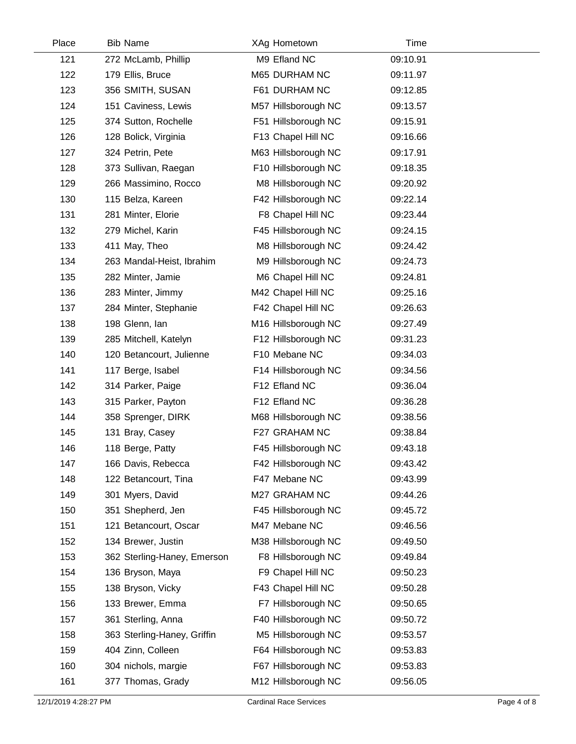| Place | <b>Bib Name</b>             | XAg Hometown        | Time     |  |
|-------|-----------------------------|---------------------|----------|--|
| 121   | 272 McLamb, Phillip         | M9 Efland NC        | 09:10.91 |  |
| 122   | 179 Ellis, Bruce            | M65 DURHAM NC       | 09:11.97 |  |
| 123   | 356 SMITH, SUSAN            | F61 DURHAM NC       | 09:12.85 |  |
| 124   | 151 Caviness, Lewis         | M57 Hillsborough NC | 09:13.57 |  |
| 125   | 374 Sutton, Rochelle        | F51 Hillsborough NC | 09:15.91 |  |
| 126   | 128 Bolick, Virginia        | F13 Chapel Hill NC  | 09:16.66 |  |
| 127   | 324 Petrin, Pete            | M63 Hillsborough NC | 09:17.91 |  |
| 128   | 373 Sullivan, Raegan        | F10 Hillsborough NC | 09:18.35 |  |
| 129   | 266 Massimino, Rocco        | M8 Hillsborough NC  | 09:20.92 |  |
| 130   | 115 Belza, Kareen           | F42 Hillsborough NC | 09:22.14 |  |
| 131   | 281 Minter, Elorie          | F8 Chapel Hill NC   | 09:23.44 |  |
| 132   | 279 Michel, Karin           | F45 Hillsborough NC | 09:24.15 |  |
| 133   | 411 May, Theo               | M8 Hillsborough NC  | 09:24.42 |  |
| 134   | 263 Mandal-Heist, Ibrahim   | M9 Hillsborough NC  | 09:24.73 |  |
| 135   | 282 Minter, Jamie           | M6 Chapel Hill NC   | 09:24.81 |  |
| 136   | 283 Minter, Jimmy           | M42 Chapel Hill NC  | 09:25.16 |  |
| 137   | 284 Minter, Stephanie       | F42 Chapel Hill NC  | 09:26.63 |  |
| 138   | 198 Glenn, Ian              | M16 Hillsborough NC | 09:27.49 |  |
| 139   | 285 Mitchell, Katelyn       | F12 Hillsborough NC | 09:31.23 |  |
| 140   | 120 Betancourt, Julienne    | F10 Mebane NC       | 09:34.03 |  |
| 141   | 117 Berge, Isabel           | F14 Hillsborough NC | 09:34.56 |  |
| 142   | 314 Parker, Paige           | F12 Efland NC       | 09:36.04 |  |
| 143   | 315 Parker, Payton          | F12 Efland NC       | 09:36.28 |  |
| 144   | 358 Sprenger, DIRK          | M68 Hillsborough NC | 09:38.56 |  |
| 145   | 131 Bray, Casey             | F27 GRAHAM NC       | 09:38.84 |  |
| 146   | 118 Berge, Patty            | F45 Hillsborough NC | 09:43.18 |  |
| 147   | 166 Davis, Rebecca          | F42 Hillsborough NC | 09:43.42 |  |
| 148   | 122 Betancourt, Tina        | F47 Mebane NC       | 09:43.99 |  |
| 149   | 301 Myers, David            | M27 GRAHAM NC       | 09:44.26 |  |
| 150   | 351 Shepherd, Jen           | F45 Hillsborough NC | 09:45.72 |  |
| 151   | 121 Betancourt, Oscar       | M47 Mebane NC       | 09:46.56 |  |
| 152   | 134 Brewer, Justin          | M38 Hillsborough NC | 09:49.50 |  |
| 153   | 362 Sterling-Haney, Emerson | F8 Hillsborough NC  | 09:49.84 |  |
| 154   | 136 Bryson, Maya            | F9 Chapel Hill NC   | 09:50.23 |  |
| 155   | 138 Bryson, Vicky           | F43 Chapel Hill NC  | 09:50.28 |  |
| 156   | 133 Brewer, Emma            | F7 Hillsborough NC  | 09:50.65 |  |
| 157   | 361 Sterling, Anna          | F40 Hillsborough NC | 09:50.72 |  |
| 158   | 363 Sterling-Haney, Griffin | M5 Hillsborough NC  | 09:53.57 |  |
| 159   | 404 Zinn, Colleen           | F64 Hillsborough NC | 09:53.83 |  |
| 160   | 304 nichols, margie         | F67 Hillsborough NC | 09:53.83 |  |
| 161   | 377 Thomas, Grady           | M12 Hillsborough NC | 09:56.05 |  |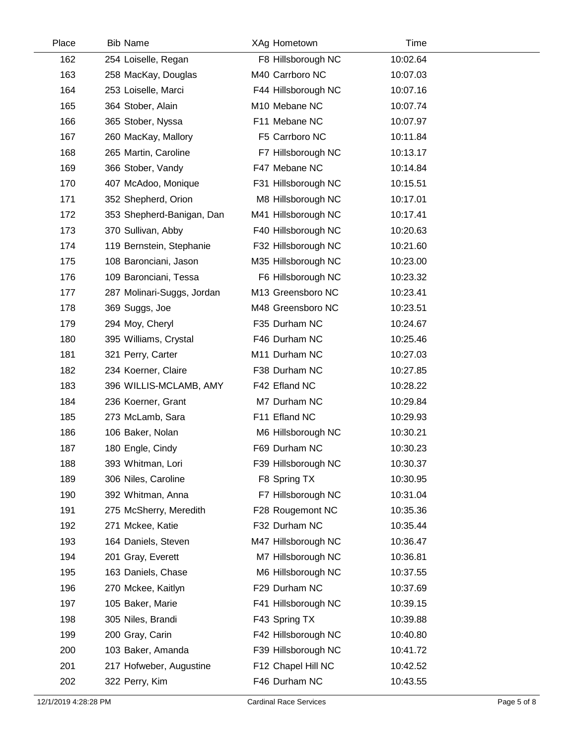| Place | <b>Bib Name</b>            | XAg Hometown        | Time     |  |
|-------|----------------------------|---------------------|----------|--|
| 162   | 254 Loiselle, Regan        | F8 Hillsborough NC  | 10:02.64 |  |
| 163   | 258 MacKay, Douglas        | M40 Carrboro NC     | 10:07.03 |  |
| 164   | 253 Loiselle, Marci        | F44 Hillsborough NC | 10:07.16 |  |
| 165   | 364 Stober, Alain          | M10 Mebane NC       | 10:07.74 |  |
| 166   | 365 Stober, Nyssa          | F11 Mebane NC       | 10:07.97 |  |
| 167   | 260 MacKay, Mallory        | F5 Carrboro NC      | 10:11.84 |  |
| 168   | 265 Martin, Caroline       | F7 Hillsborough NC  | 10:13.17 |  |
| 169   | 366 Stober, Vandy          | F47 Mebane NC       | 10:14.84 |  |
| 170   | 407 McAdoo, Monique        | F31 Hillsborough NC | 10:15.51 |  |
| 171   | 352 Shepherd, Orion        | M8 Hillsborough NC  | 10:17.01 |  |
| 172   | 353 Shepherd-Banigan, Dan  | M41 Hillsborough NC | 10:17.41 |  |
| 173   | 370 Sullivan, Abby         | F40 Hillsborough NC | 10:20.63 |  |
| 174   | 119 Bernstein, Stephanie   | F32 Hillsborough NC | 10:21.60 |  |
| 175   | 108 Baronciani, Jason      | M35 Hillsborough NC | 10:23.00 |  |
| 176   | 109 Baronciani, Tessa      | F6 Hillsborough NC  | 10:23.32 |  |
| 177   | 287 Molinari-Suggs, Jordan | M13 Greensboro NC   | 10:23.41 |  |
| 178   | 369 Suggs, Joe             | M48 Greensboro NC   | 10:23.51 |  |
| 179   | 294 Moy, Cheryl            | F35 Durham NC       | 10:24.67 |  |
| 180   | 395 Williams, Crystal      | F46 Durham NC       | 10:25.46 |  |
| 181   | 321 Perry, Carter          | M11 Durham NC       | 10:27.03 |  |
| 182   | 234 Koerner, Claire        | F38 Durham NC       | 10:27.85 |  |
| 183   | 396 WILLIS-MCLAMB, AMY     | F42 Efland NC       | 10:28.22 |  |
| 184   | 236 Koerner, Grant         | M7 Durham NC        | 10:29.84 |  |
| 185   | 273 McLamb, Sara           | F11 Efland NC       | 10:29.93 |  |
| 186   | 106 Baker, Nolan           | M6 Hillsborough NC  | 10:30.21 |  |
| 187   | 180 Engle, Cindy           | F69 Durham NC       | 10:30.23 |  |
| 188   | 393 Whitman, Lori          | F39 Hillsborough NC | 10:30.37 |  |
| 189   | 306 Niles, Caroline        | F8 Spring TX        | 10:30.95 |  |
| 190   | 392 Whitman, Anna          | F7 Hillsborough NC  | 10:31.04 |  |
| 191   | 275 McSherry, Meredith     | F28 Rougemont NC    | 10:35.36 |  |
| 192   | 271 Mckee, Katie           | F32 Durham NC       | 10:35.44 |  |
| 193   | 164 Daniels, Steven        | M47 Hillsborough NC | 10:36.47 |  |
| 194   | 201 Gray, Everett          | M7 Hillsborough NC  | 10:36.81 |  |
| 195   | 163 Daniels, Chase         | M6 Hillsborough NC  | 10:37.55 |  |
| 196   | 270 Mckee, Kaitlyn         | F29 Durham NC       | 10:37.69 |  |
| 197   | 105 Baker, Marie           | F41 Hillsborough NC | 10:39.15 |  |
| 198   | 305 Niles, Brandi          | F43 Spring TX       | 10:39.88 |  |
| 199   | 200 Gray, Carin            | F42 Hillsborough NC | 10:40.80 |  |
| 200   | 103 Baker, Amanda          | F39 Hillsborough NC | 10:41.72 |  |
| 201   | 217 Hofweber, Augustine    | F12 Chapel Hill NC  | 10:42.52 |  |
| 202   | 322 Perry, Kim             | F46 Durham NC       | 10:43.55 |  |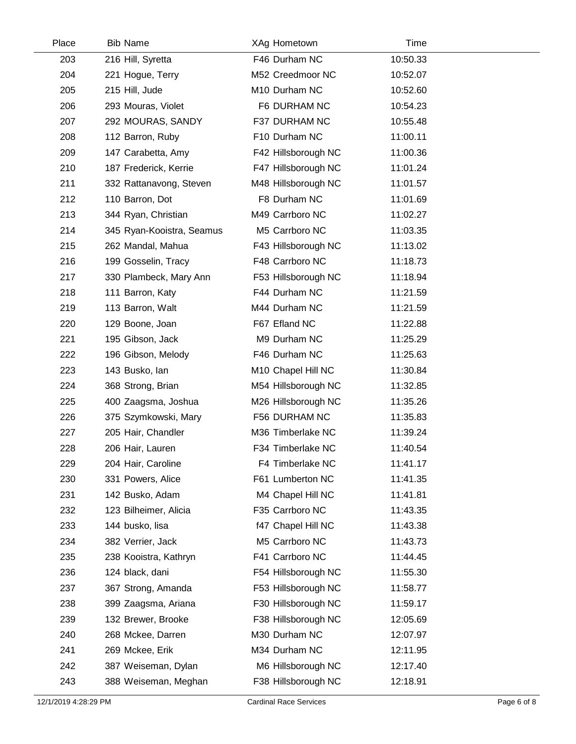| Place | <b>Bib Name</b>           | XAg Hometown        | Time     |  |
|-------|---------------------------|---------------------|----------|--|
| 203   | 216 Hill, Syretta         | F46 Durham NC       | 10:50.33 |  |
| 204   | 221 Hogue, Terry          | M52 Creedmoor NC    | 10:52.07 |  |
| 205   | 215 Hill, Jude            | M10 Durham NC       | 10:52.60 |  |
| 206   | 293 Mouras, Violet        | F6 DURHAM NC        | 10:54.23 |  |
| 207   | 292 MOURAS, SANDY         | F37 DURHAM NC       | 10:55.48 |  |
| 208   | 112 Barron, Ruby          | F10 Durham NC       | 11:00.11 |  |
| 209   | 147 Carabetta, Amy        | F42 Hillsborough NC | 11:00.36 |  |
| 210   | 187 Frederick, Kerrie     | F47 Hillsborough NC | 11:01.24 |  |
| 211   | 332 Rattanavong, Steven   | M48 Hillsborough NC | 11:01.57 |  |
| 212   | 110 Barron, Dot           | F8 Durham NC        | 11:01.69 |  |
| 213   | 344 Ryan, Christian       | M49 Carrboro NC     | 11:02.27 |  |
| 214   | 345 Ryan-Kooistra, Seamus | M5 Carrboro NC      | 11:03.35 |  |
| 215   | 262 Mandal, Mahua         | F43 Hillsborough NC | 11:13.02 |  |
| 216   | 199 Gosselin, Tracy       | F48 Carrboro NC     | 11:18.73 |  |
| 217   | 330 Plambeck, Mary Ann    | F53 Hillsborough NC | 11:18.94 |  |
| 218   | 111 Barron, Katy          | F44 Durham NC       | 11:21.59 |  |
| 219   | 113 Barron, Walt          | M44 Durham NC       | 11:21.59 |  |
| 220   | 129 Boone, Joan           | F67 Efland NC       | 11:22.88 |  |
| 221   | 195 Gibson, Jack          | M9 Durham NC        | 11:25.29 |  |
| 222   | 196 Gibson, Melody        | F46 Durham NC       | 11:25.63 |  |
| 223   | 143 Busko, lan            | M10 Chapel Hill NC  | 11:30.84 |  |
| 224   | 368 Strong, Brian         | M54 Hillsborough NC | 11:32.85 |  |
| 225   | 400 Zaagsma, Joshua       | M26 Hillsborough NC | 11:35.26 |  |
| 226   | 375 Szymkowski, Mary      | F56 DURHAM NC       | 11:35.83 |  |
| 227   | 205 Hair, Chandler        | M36 Timberlake NC   | 11:39.24 |  |
| 228   | 206 Hair, Lauren          | F34 Timberlake NC   | 11:40.54 |  |
| 229   | 204 Hair, Caroline        | F4 Timberlake NC    | 11:41.17 |  |
| 230   | 331 Powers, Alice         | F61 Lumberton NC    | 11:41.35 |  |
| 231   | 142 Busko, Adam           | M4 Chapel Hill NC   | 11:41.81 |  |
| 232   | 123 Bilheimer, Alicia     | F35 Carrboro NC     | 11:43.35 |  |
| 233   | 144 busko, lisa           | f47 Chapel Hill NC  | 11:43.38 |  |
| 234   | 382 Verrier, Jack         | M5 Carrboro NC      | 11:43.73 |  |
| 235   | 238 Kooistra, Kathryn     | F41 Carrboro NC     | 11:44.45 |  |
| 236   | 124 black, dani           | F54 Hillsborough NC | 11:55.30 |  |
| 237   | 367 Strong, Amanda        | F53 Hillsborough NC | 11:58.77 |  |
| 238   | 399 Zaagsma, Ariana       | F30 Hillsborough NC | 11:59.17 |  |
| 239   | 132 Brewer, Brooke        | F38 Hillsborough NC | 12:05.69 |  |
| 240   | 268 Mckee, Darren         | M30 Durham NC       | 12:07.97 |  |
| 241   | 269 Mckee, Erik           | M34 Durham NC       | 12:11.95 |  |
| 242   | 387 Weiseman, Dylan       | M6 Hillsborough NC  | 12:17.40 |  |
| 243   | 388 Weiseman, Meghan      | F38 Hillsborough NC | 12:18.91 |  |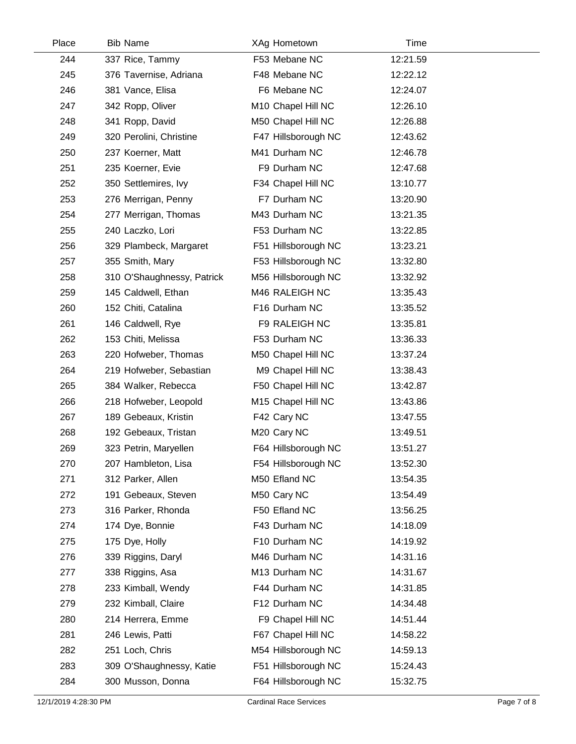| Place | <b>Bib Name</b>            | XAg Hometown        | Time     |  |
|-------|----------------------------|---------------------|----------|--|
| 244   | 337 Rice, Tammy            | F53 Mebane NC       | 12:21.59 |  |
| 245   | 376 Tavernise, Adriana     | F48 Mebane NC       | 12:22.12 |  |
| 246   | 381 Vance, Elisa           | F6 Mebane NC        | 12:24.07 |  |
| 247   | 342 Ropp, Oliver           | M10 Chapel Hill NC  | 12:26.10 |  |
| 248   | 341 Ropp, David            | M50 Chapel Hill NC  | 12:26.88 |  |
| 249   | 320 Perolini, Christine    | F47 Hillsborough NC | 12:43.62 |  |
| 250   | 237 Koerner, Matt          | M41 Durham NC       | 12:46.78 |  |
| 251   | 235 Koerner, Evie          | F9 Durham NC        | 12:47.68 |  |
| 252   | 350 Settlemires, Ivy       | F34 Chapel Hill NC  | 13:10.77 |  |
| 253   | 276 Merrigan, Penny        | F7 Durham NC        | 13:20.90 |  |
| 254   | 277 Merrigan, Thomas       | M43 Durham NC       | 13:21.35 |  |
| 255   | 240 Laczko, Lori           | F53 Durham NC       | 13:22.85 |  |
| 256   | 329 Plambeck, Margaret     | F51 Hillsborough NC | 13:23.21 |  |
| 257   | 355 Smith, Mary            | F53 Hillsborough NC | 13:32.80 |  |
| 258   | 310 O'Shaughnessy, Patrick | M56 Hillsborough NC | 13:32.92 |  |
| 259   | 145 Caldwell, Ethan        | M46 RALEIGH NC      | 13:35.43 |  |
| 260   | 152 Chiti, Catalina        | F16 Durham NC       | 13:35.52 |  |
| 261   | 146 Caldwell, Rye          | F9 RALEIGH NC       | 13:35.81 |  |
| 262   | 153 Chiti, Melissa         | F53 Durham NC       | 13:36.33 |  |
| 263   | 220 Hofweber, Thomas       | M50 Chapel Hill NC  | 13:37.24 |  |
| 264   | 219 Hofweber, Sebastian    | M9 Chapel Hill NC   | 13:38.43 |  |
| 265   | 384 Walker, Rebecca        | F50 Chapel Hill NC  | 13:42.87 |  |
| 266   | 218 Hofweber, Leopold      | M15 Chapel Hill NC  | 13:43.86 |  |
| 267   | 189 Gebeaux, Kristin       | F42 Cary NC         | 13:47.55 |  |
| 268   | 192 Gebeaux, Tristan       | M20 Cary NC         | 13:49.51 |  |
| 269   | 323 Petrin, Maryellen      | F64 Hillsborough NC | 13:51.27 |  |
| 270   | 207 Hambleton, Lisa        | F54 Hillsborough NC | 13:52.30 |  |
| 271   | 312 Parker, Allen          | M50 Efland NC       | 13:54.35 |  |
| 272   | 191 Gebeaux, Steven        | M50 Cary NC         | 13:54.49 |  |
| 273   | 316 Parker, Rhonda         | F50 Efland NC       | 13:56.25 |  |
| 274   | 174 Dye, Bonnie            | F43 Durham NC       | 14:18.09 |  |
| 275   | 175 Dye, Holly             | F10 Durham NC       | 14:19.92 |  |
| 276   | 339 Riggins, Daryl         | M46 Durham NC       | 14:31.16 |  |
| 277   | 338 Riggins, Asa           | M13 Durham NC       | 14:31.67 |  |
| 278   | 233 Kimball, Wendy         | F44 Durham NC       | 14:31.85 |  |
| 279   | 232 Kimball, Claire        | F12 Durham NC       | 14:34.48 |  |
| 280   | 214 Herrera, Emme          | F9 Chapel Hill NC   | 14:51.44 |  |
| 281   | 246 Lewis, Patti           | F67 Chapel Hill NC  | 14:58.22 |  |
| 282   | 251 Loch, Chris            | M54 Hillsborough NC | 14:59.13 |  |
| 283   | 309 O'Shaughnessy, Katie   | F51 Hillsborough NC | 15:24.43 |  |
| 284   | 300 Musson, Donna          | F64 Hillsborough NC | 15:32.75 |  |